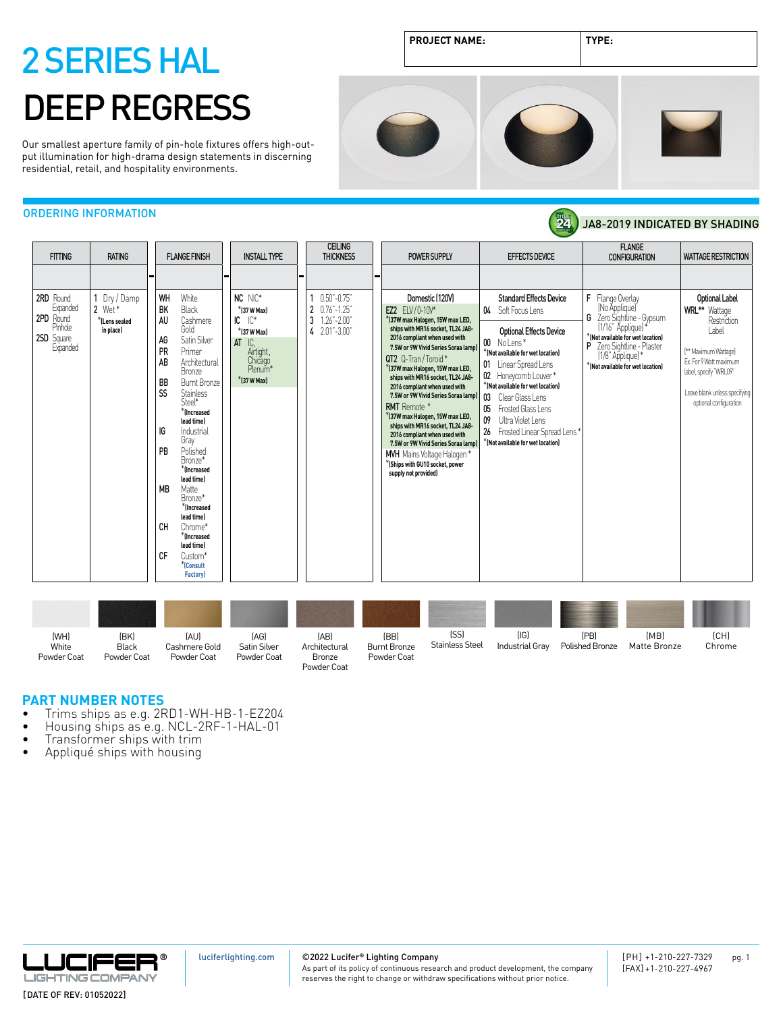# 2 SERIES HAL DEEP REGRESS

Our smallest aperture family of pin-hole fixtures offers high-output illumination for high-drama design statements in discerning residential, retail, and hospitality environments.

JA8-2019 INDICATED BY SHADING



24

## ORDERING INFORMATION

| Dry / Damp<br>WH<br>White<br>NC NIC*<br>Domestic [120V]<br>$0.50 - 0.75$<br><b>Standard Effects Device</b><br>Flange Overlay<br>Optional Label<br>2RD Round<br>F<br>Expanded<br>(No Applique)<br>2 Wet*<br><b>BK</b><br>Black<br>$\mathbf{2}$<br>$0.76 - 1.25$<br>*(37 W Max)<br>04 Soft Focus Lens<br><b>WRL</b> ** Wattage<br>EZ2 ELV/0-10V*<br>G<br>Zero Sightline - Gypsum<br>2PD Round<br>$IC^*$<br>3<br>Restriction<br>Cashmere<br>IC<br>*(37W max Halogen, 15W max LED,<br>AU<br>$1.26" - 2.00"$<br>*ILens sealed<br>(1/16" Applique)<br>Pinhole<br>Gold<br>ships with MR16 socket. TL24 JA8-<br>Label<br>in place)<br>4 2.01"-3.00"<br><b>Optional Effects Device</b><br>*(37 W Max)<br>*(Not available for wet location)<br>2SD Square<br>2016 compliant when used with<br>Satin Silver<br>AG<br>AT<br>IC.<br>00 No Lens*<br>P Zero Sightline - Plaster<br>Expanded<br>7.5W or 9W Vivid Series Soraa lampl<br>PR<br>Airtight,<br>Primer<br>$^{\ast}$ (Not available for wet location)<br><sup>**</sup> Maximum Wattage]<br>$(1/8)$ " Applique) *<br>QT2 Q-Tran/Toroid*<br>Chicago<br>AB<br>Ex. For 9 Watt maximum<br>Architectural<br>01 Linear Spread Lens<br>*(Not available for wet location)<br>*(37W max Halogen, 15W max LED,<br><b>Bronze</b><br>label, specify 'WRL09"<br>02 Honeycomb Louver*<br>ships with MR16 socket, TL24 JA8-<br>$*$ (37 W Max)<br><b>BB</b><br><b>Burnt Bronze</b><br>*(Not available for wet location)<br>2016 compliant when used with<br>SS<br><b>Stainless</b><br>Leave blank unless specifying<br>7.5W or 9W Vivid Series Soraa lampl<br>03<br>Clear Glass Lens<br>Steel*<br>optional configuration<br>RMT Remote *<br>05<br>Frosted Glass Lens<br>*Increased<br>*(37W max Halogen, 15W max LED,<br>09<br>Ultra Violet Lens<br>lead time)<br>ships with MR16 socket, TL24 JA8-<br>IG<br>Industrial<br>26 Frosted Linear Spread Lens*<br>2016 compliant when used with<br>Gray<br>*(Not available for wet location)<br>7.5W or 9W Vivid Series Soraa lamp)<br><b>PB</b><br>Polished<br><b>MVH</b> Mains Voltage Halogen *<br>Bronze*<br>*(Ships with GU10 socket, power<br>*Increased<br>supply not provided)<br>lead time)<br><b>MB</b><br>Matte<br>Bronze*<br>$*$ (Increased<br>lead time)<br><b>CH</b><br>Chrome* |
|------------------------------------------------------------------------------------------------------------------------------------------------------------------------------------------------------------------------------------------------------------------------------------------------------------------------------------------------------------------------------------------------------------------------------------------------------------------------------------------------------------------------------------------------------------------------------------------------------------------------------------------------------------------------------------------------------------------------------------------------------------------------------------------------------------------------------------------------------------------------------------------------------------------------------------------------------------------------------------------------------------------------------------------------------------------------------------------------------------------------------------------------------------------------------------------------------------------------------------------------------------------------------------------------------------------------------------------------------------------------------------------------------------------------------------------------------------------------------------------------------------------------------------------------------------------------------------------------------------------------------------------------------------------------------------------------------------------------------------------------------------------------------------------------------------------------------------------------------------------------------------------------------------------------------------------------------------------------------------------------------------------------------------------------------------------------------------------------------------------------------------------------------------------------------------------------------------------------------------------------------------------|
| $*$ (Increased<br>lead time)                                                                                                                                                                                                                                                                                                                                                                                                                                                                                                                                                                                                                                                                                                                                                                                                                                                                                                                                                                                                                                                                                                                                                                                                                                                                                                                                                                                                                                                                                                                                                                                                                                                                                                                                                                                                                                                                                                                                                                                                                                                                                                                                                                                                                                     |

| (WH)<br>White<br>Powder Coat | (BK)<br>Black<br>Powder Coat | [AU]<br>Cashmere Gold<br>Powder Coat | [AG]<br>Satin Silver<br>Powder Coat | [AB]<br>Architectural<br>Bronze<br>Powder Coat | (BB)<br><b>Burnt Bronze</b><br>Powder Coat | (SS)<br><b>Stainless Steel</b> | (IG)<br>Industrial Grav | (PB)<br>Polished Bronze | (MB)<br>Matte Bronze | [CH]<br>Chrome |
|------------------------------|------------------------------|--------------------------------------|-------------------------------------|------------------------------------------------|--------------------------------------------|--------------------------------|-------------------------|-------------------------|----------------------|----------------|

- **PART NUMBER NOTES**<br>• Trims ships as e.g. 2RD1-WH-HB-1-EZ204
- Trims ships as e.g. 2RD1-WH-HB-1-EZ204<br>• Housing ships as e.g. NCL-2RF-1-HAL-01<br>• Transformer ships with trim<br>• Appliqué ships with housing
- 
- 



[luciferlighting.com](http://luciferlighting.com/)

### ©2022 Lucifer**®** Lighting Company

As part of its policy of continuous research and product development, the company reserves the right to change or withdraw specifications without prior notice.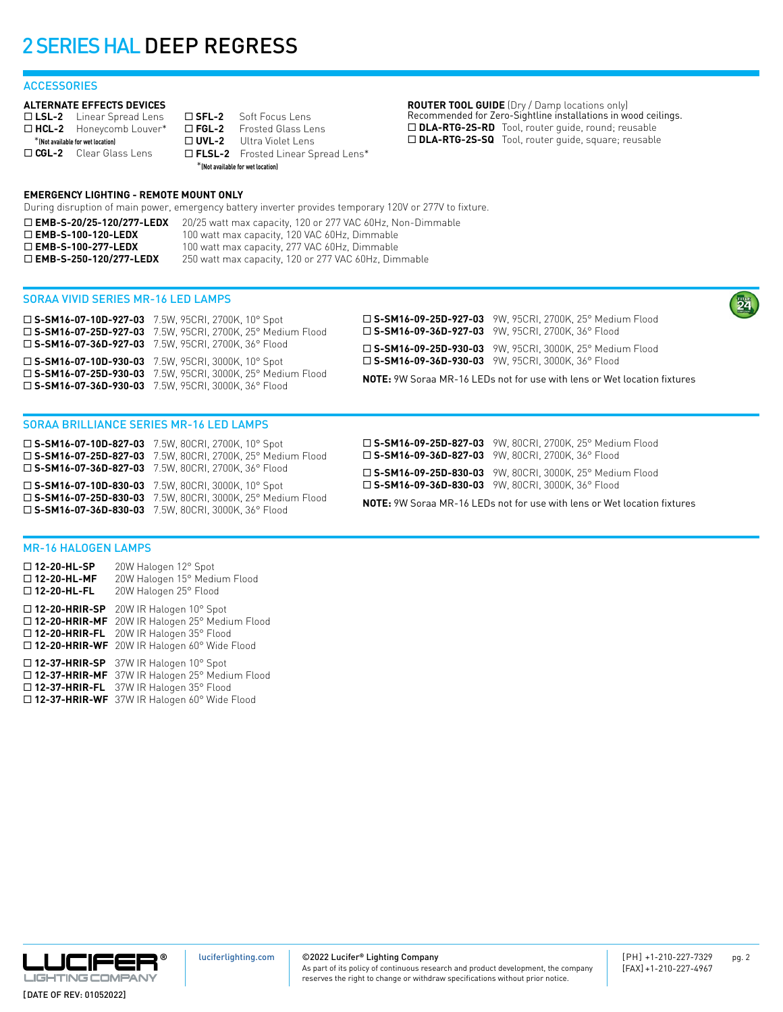## 2 SERIES HAL DEEP REGRESS

## **ACCESSORIES**

### **ALTERNATE EFFECTS DEVICES**

□ LSL-2 Linear Spread Lens □ HCL-2 Honeycomb Louver\* \***(Not available for wet location)** □ CGL-2 Clear Glass Lens

□ **SFL-2** Soft Focus Lens<br>□ FGL-2 Frosted Glass Le **Frosted Glass Lens** □ **UVL-2** Ultra Violet Lens ¨ **FLSL-2** Frosted Linear Spread Lens\* \***(Not available for wet location)**

**ROUTER TOOL GUIDE** (Dry / Damp locations only) Recommended for Zero-Sightline installations in wood ceilings. □ DLA-RTG-2S-RD Tool, router guide, round; reusable ¨ **DLA-RTG-2S-SQ** Tool, router guide, square; reusable

## **EMERGENCY LIGHTING - REMOTE MOUNT ONLY**

During disruption of main power, emergency battery inverter provides temporary 120V or 277V to fixture.

□ **EMB-S-20/25-120/277-LEDX** 20/25 watt max capacity, 120 or 277 VAC 60Hz, Non-Dimmable □ EMB-S-100-120-LEDX 100 watt max capacity, 120 VAC 60Hz, Dimmable □ EMB-S-100-277-LEDX 100 watt max capacity, 277 VAC 60Hz, Dimmable □ **EMB-S-250-120/277-LEDX** 250 watt max capacity, 120 or 277 VAC 60Hz, Dimmable

## SORAA VIVID SERIES MR-16 LED LAMPS

| $\square$ S-SM16-07-10D-927-03 7.5W, 95CRI, 2700K, 10° Spot<br>□ S-SM16-07-25D-927-03 7.5W, 95CRI, 2700K, 25° Medium Flood | □ S-SM16-09-25D-927-03 9W, 95CRI, 2700K, 25° Medium Flood<br>$\square$ S-SM16-09-36D-927-03 9W, 95CRI, 2700K, 36° Flood |  |  |
|----------------------------------------------------------------------------------------------------------------------------|-------------------------------------------------------------------------------------------------------------------------|--|--|
| $\square$ S-SM16-07-36D-927-03 7.5W, 95CRI, 2700K, 36° Flood                                                               | □ S-SM16-09-25D-930-03 9W, 95CRI, 3000K, 25° Medium Flood                                                               |  |  |
| $\square$ S-SM16-07-10D-930-03 7.5W, 95CRI, 3000K, 10° Spot                                                                | $\square$ S-SM16-09-36D-930-03 9W, 95CRI, 3000K, 36° Flood                                                              |  |  |
| □ S-SM16-07-25D-930-03 7.5W, 95CRI, 3000K, 25° Medium Flood                                                                | <b>NOTE:</b> 9W Soraa MR-16 LEDs not for use with lens or Wet location fixtures                                         |  |  |
| □ S-SM16-07-36D-930-03 7.5W, 95CRI, 3000K, 36° Flood                                                                       |                                                                                                                         |  |  |

### SORAA BRILLIANCE SERIES MR-16 LED LAMPS

¨ **S-SM16-07-10D-827-03** 7.5W, 80CRI, 2700K, 10° Spot ¨ **S-SM16-07-25D-827-03** 7.5W, 80CRI, 2700K, 25° Medium Flood ¨ **S-SM16-07-36D-827-03** 7.5W, 80CRI, 2700K, 36° Flood ¨ **S-SM16-07-10D-830-03** 7.5W, 80CRI, 3000K, 10° Spot ¨ **S-SM16-07-25D-830-03** 7.5W, 80CRI, 3000K, 25° Medium Flood ¨ **S-SM16-07-36D-830-03** 7.5W, 80CRI, 3000K, 36° Flood

¨ **S-SM16-09-25D-827-03** 9W, 80CRI, 2700K, 25° Medium Flood ¨ **S-SM16-09-36D-827-03** 9W, 80CRI, 2700K, 36° Flood

¨ **S-SM16-09-25D-830-03** 9W, 80CRI, 3000K, 25° Medium Flood ¨ **S-SM16-09-36D-830-03** 9W, 80CRI, 3000K, 36° Flood

**NOTE:** 9W Soraa MR-16 LEDs not for use with lens or Wet location fixtures

## MR-16 HALOGEN LAMPS

¨ **12-20-HL-SP** 20W Halogen 12° Spot ¨ **12-20-HL-MF** 20W Halogen 15° Medium Flood □ 12-20-HL-FL 20W Halogen 25° Flood □ 12-20-HRIR-SP 20W IR Halogen 10° Spot □ 12-20-HRIR-MF 20W IR Halogen 25° Medium Flood □ 12-20-HRIR-FL 20W IR Halogen 35° Flood □ 12-20-HRIR-WF 20W IR Halogen 60° Wide Flood □ 12-37-HRIR-SP 37W IR Halogen 10° Spot

□ 12-37-HRIR-MF 37W IR Halogen 25° Medium Flood ¨ **12-37-HRIR-FL** 37W IR Halogen 35° Flood ¨ **12-37-HRIR-WF** 37W IR Halogen 60° Wide Flood

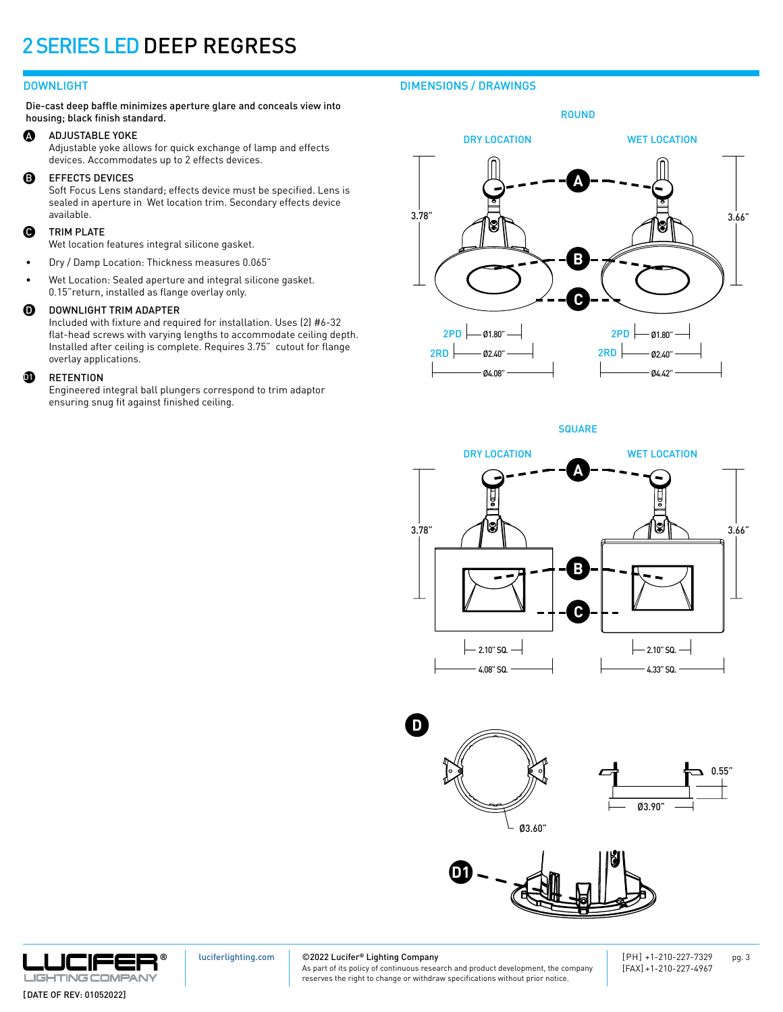## 2 SERIES LED DEEP REGRESS

## DOWNLIGHT

Die-cast deep baffle minimizes aperture glare and conceals view into housing; black finish standard.

### A ADJUSTABLE YOKE

Adjustable yoke allows for quick exchange of lamp and effects devices. Accommodates up to 2 effects devices.

### B EFFECTS DEVICES

Soft Focus Lens standard; effects device must be specified. Lens is sealed in aperture in Wet location trim. Secondary effects device available.

### Q TRIM PLATE

Wet location features integral silicone gasket.

- Dry / Damp Location: Thickness measures 0.065"
- Wet Location: Sealed aperture and integral silicone gasket. 0.15"return, installed as flange overlay only.

#### $\boldsymbol{0}$ DOWNLIGHT TRIM ADAPTER

Included with fixture and required for installation. Uses (2) #6-32 flat-head screws with varying lengths to accommodate ceiling depth. Installed after ceiling is complete. Requires 3.75" cutout for flange overlay applications.

#### $\bf{p}$ RETENTION

Engineered integral ball plungers correspond to trim adaptor ensuring snug fit against finished ceiling.

## DIMENSIONS / DRAWINGS



**SQUARE** 











[luciferlighting.com](http://luciferlighting.com/)

©2022 Lucifer**®** Lighting Company

As part of its policy of continuous research and product development, the company reserves the right to change or withdraw specifications without prior notice.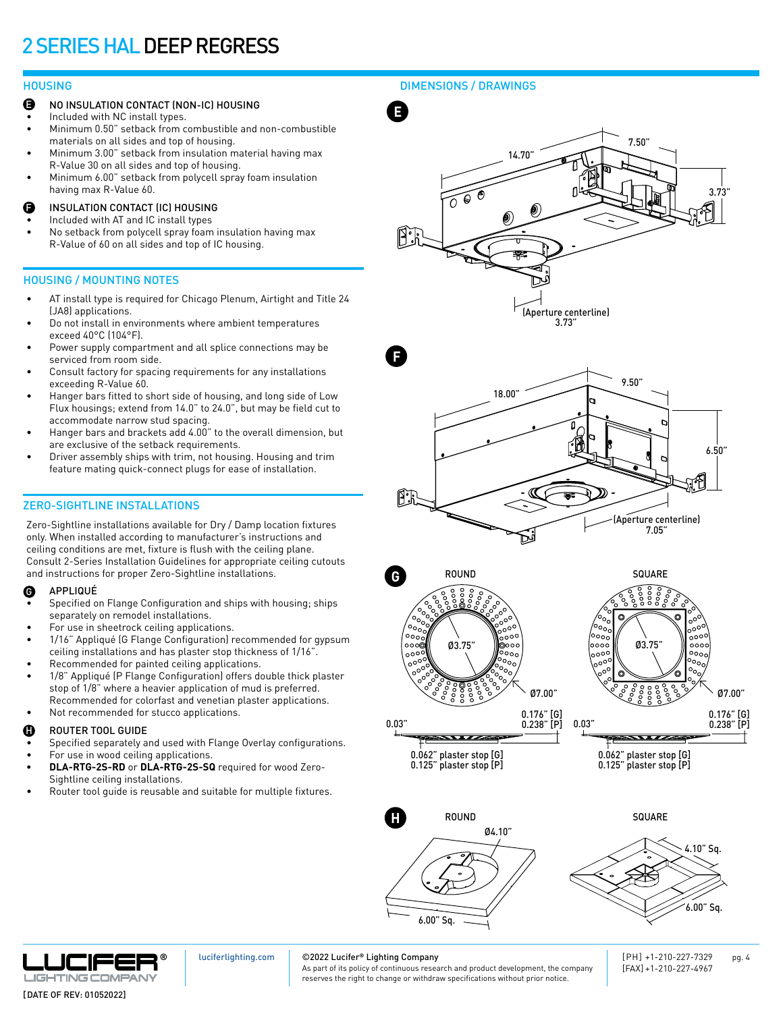## 2 SERIES HAL DEEP REGRESS

- NO INSULATION CONTACT (NON-IC) HOUSING E
- Included with NC install types.
- Minimum 0.50" setback from combustible and non-combustible materials on all sides and top of housing.
- Minimum 3.00" setback from insulation material having max R-Value 30 on all sides and top of housing.
- Minimum 6.00" setback from polycell spray foam insulation having max R-Value 60.
- INSULATION CONTACT (IC) HOUSING F
- Included with AT and IC install types
- No setback from polycell spray foam insulation having max R-Value of 60 on all sides and top of IC housing.

## HOUSING / MOUNTING NOTES

- AT install type is required for Chicago Plenum, Airtight and Title 24 (JA8) applications.
- Do not install in environments where ambient temperatures exceed 40°C (104°F).
- Power supply compartment and all splice connections may be serviced from room side.
- Consult factory for spacing requirements for any installations exceeding R-Value 60.
- Hanger bars fitted to short side of housing, and long side of Low Flux housings; extend from 14.0" to 24.0", but may be field cut to accommodate narrow stud spacing.
- Hanger bars and brackets add 4.00" to the overall dimension, but are exclusive of the setback requirements.
- Driver assembly ships with trim, not housing. Housing and trim feature mating quick-connect plugs for ease of installation.

## ZERO-SIGHTLINE INSTALLATIONS

Zero-Sightline installations available for Dry / Damp location fixtures only. When installed according to manufacturer's instructions and ceiling conditions are met, fixture is flush with the ceiling plane. Consult 2-Series Installation Guidelines for appropriate ceiling cutouts and instructions for proper Zero-Sightline installations.

### APPLIQUÉ G

- Specified on Flange Configuration and ships with housing; ships separately on remodel installations.
- For use in sheetrock ceiling applications.
- 1/16" Appliqué (G Flange Configuration) recommended for gypsum ceiling installations and has plaster stop thickness of 1/16".
- Recommended for painted ceiling applications.
- 1/8" Appliqué (P Flange Configuration) offers double thick plaster stop of 1/8" where a heavier application of mud is preferred. Recommended for colorfast and venetian plaster applications.
- Not recommended for stucco applications.

### ROUTER TOOL GUIDE H

- Specified separately and used with Flange Overlay configurations.
- For use in wood ceiling applications. **• DLA-RTG-2S-RD** or **DLA-RTG-2S-SQ** required for wood Zero-Sightline ceiling installations.
- Router tool guide is reusable and suitable for multiple fixtures.

HOUSING DIMENSIONS / DRAWINGS









0.062" plaster stop [G] 0.125" plaster stop [P]



0.062" plaster stop [G] 0.125" plaster stop [P]

 $\overline{\phantom{a}}$ 





[luciferlighting.com](http://luciferlighting.com/)

## ©2022 Lucifer**®** Lighting Company

As part of its policy of continuous research and product development, the company reserves the right to change or withdraw specifications without prior notice.